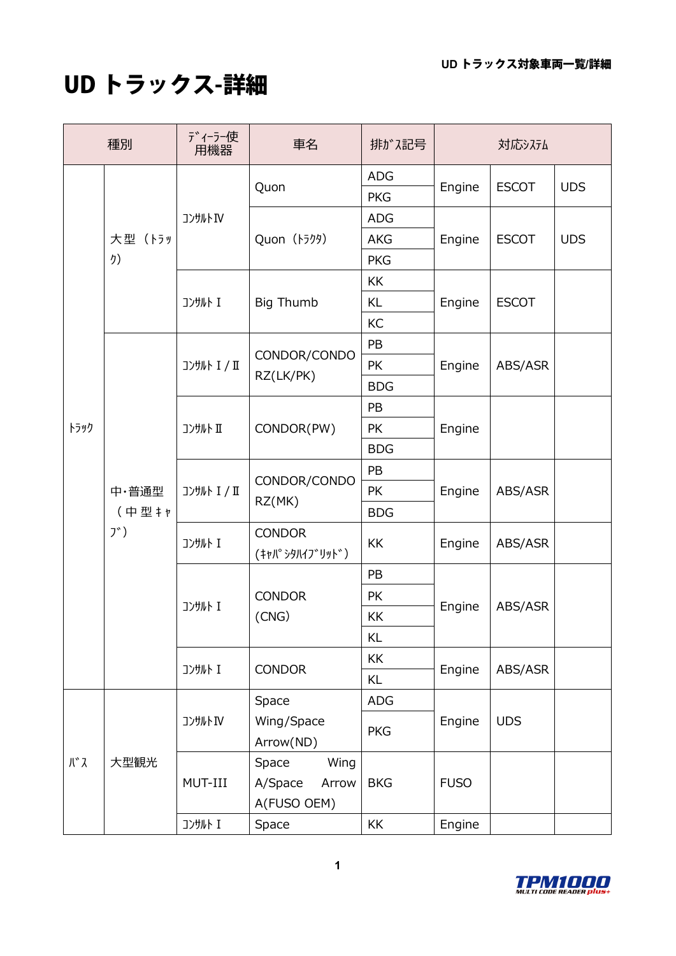## UD トラックス-詳細

| 種別           |                      | ディーラー使<br>用機器       | 車名                                               | 排ガス記号                    | 対応システム      |              |            |
|--------------|----------------------|---------------------|--------------------------------------------------|--------------------------|-------------|--------------|------------|
| トラック         | 大型(トラッ<br>り)         | コンサルトIV             | Quon                                             | <b>ADG</b><br><b>PKG</b> | Engine      | <b>ESCOT</b> | <b>UDS</b> |
|              |                      |                     | Quon (トラクタ)                                      | <b>ADG</b>               | Engine      | <b>ESCOT</b> | <b>UDS</b> |
|              |                      |                     |                                                  | <b>AKG</b>               |             |              |            |
|              |                      |                     |                                                  | <b>PKG</b>               |             |              |            |
|              |                      | コンサルト I             | <b>Big Thumb</b>                                 | KK                       | Engine      | <b>ESCOT</b> |            |
|              |                      |                     |                                                  | <b>KL</b>                |             |              |            |
|              |                      |                     |                                                  | KC                       |             |              |            |
|              | 中·普通型<br>(中型キャ<br>ブ) | <b>コンサルト I / II</b> | CONDOR/CONDO<br>RZ(LK/PK)                        | PB                       | Engine      | ABS/ASR      |            |
|              |                      |                     |                                                  | <b>PK</b>                |             |              |            |
|              |                      |                     |                                                  | <b>BDG</b>               |             |              |            |
|              |                      | コンサルト II            | CONDOR(PW)                                       | PB                       | Engine      |              |            |
|              |                      |                     |                                                  | <b>PK</b>                |             |              |            |
|              |                      |                     |                                                  | <b>BDG</b>               |             |              |            |
|              |                      | <b>コンサルト I / II</b> | CONDOR/CONDO<br>RZ(MK)                           | PB                       | Engine      | ABS/ASR      |            |
|              |                      |                     |                                                  | PK                       |             |              |            |
|              |                      |                     |                                                  | <b>BDG</b>               |             |              |            |
|              |                      | コンサルト I             | <b>CONDOR</b><br>(キャパシタハイブリッド)                   | KK                       | Engine      | ABS/ASR      |            |
|              |                      | コンサルト I             | <b>CONDOR</b><br>(CNG)                           | PB                       | Engine      | ABS/ASR      |            |
|              |                      |                     |                                                  | PK                       |             |              |            |
|              |                      |                     |                                                  | KK                       |             |              |            |
|              |                      |                     |                                                  | KL                       |             |              |            |
|              |                      | コンサルト I             | <b>CONDOR</b>                                    | KK                       | Engine      | ABS/ASR      |            |
|              |                      |                     |                                                  | KL                       |             |              |            |
| <b>J\* 7</b> | 大型観光                 | コンサルトIV             | Space                                            | <b>ADG</b>               | Engine      | <b>UDS</b>   |            |
|              |                      |                     | Wing/Space<br>Arrow(ND)                          | <b>PKG</b>               |             |              |            |
|              |                      | MUT-III             | Wing<br>Space<br>A/Space<br>Arrow<br>A(FUSO OEM) | <b>BKG</b>               | <b>FUSO</b> |              |            |
|              |                      | コンサルト I             | Space                                            | KK                       | Engine      |              |            |